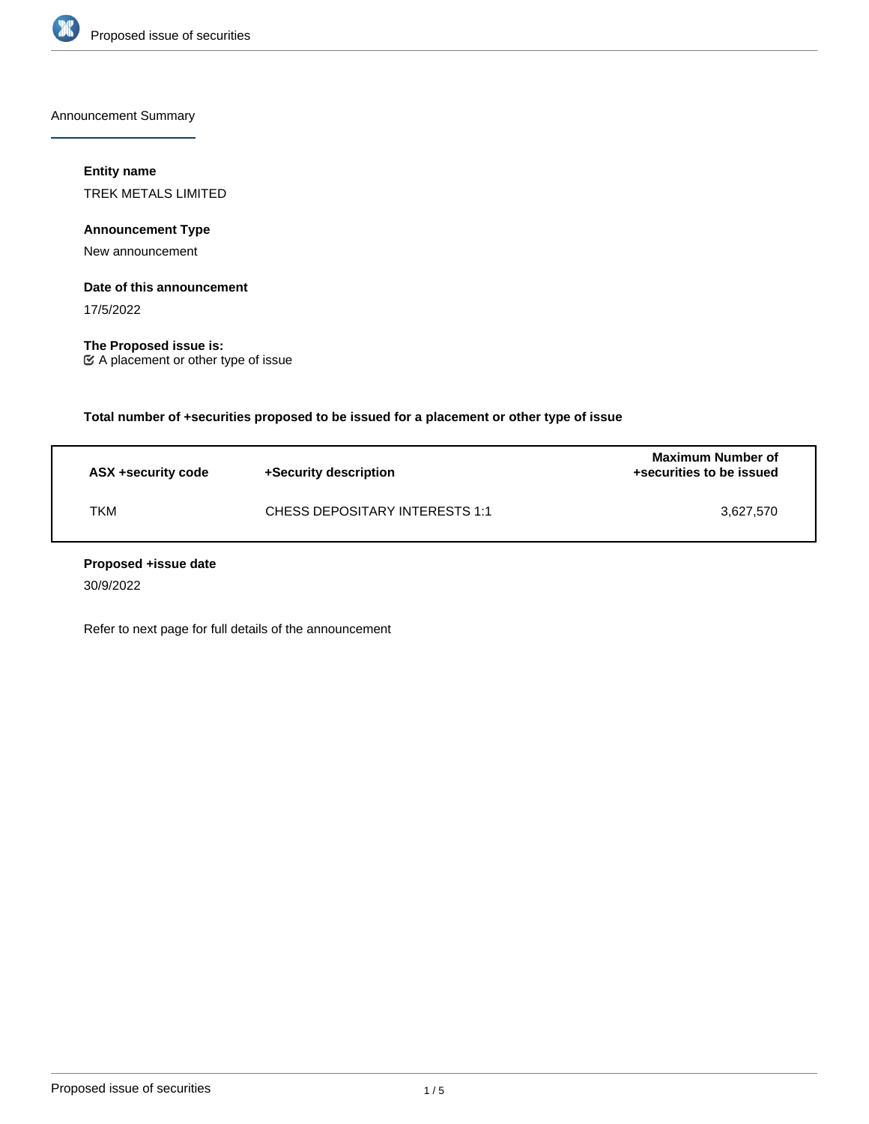

Announcement Summary

### **Entity name**

TREK METALS LIMITED

**Announcement Type**

New announcement

#### **Date of this announcement**

17/5/2022

**The Proposed issue is:** A placement or other type of issue

**Total number of +securities proposed to be issued for a placement or other type of issue**

| ASX +security code | +Security description          | Maximum Number of<br>+securities to be issued |
|--------------------|--------------------------------|-----------------------------------------------|
| ткм                | CHESS DEPOSITARY INTERESTS 1:1 | 3.627.570                                     |

#### **Proposed +issue date**

30/9/2022

Refer to next page for full details of the announcement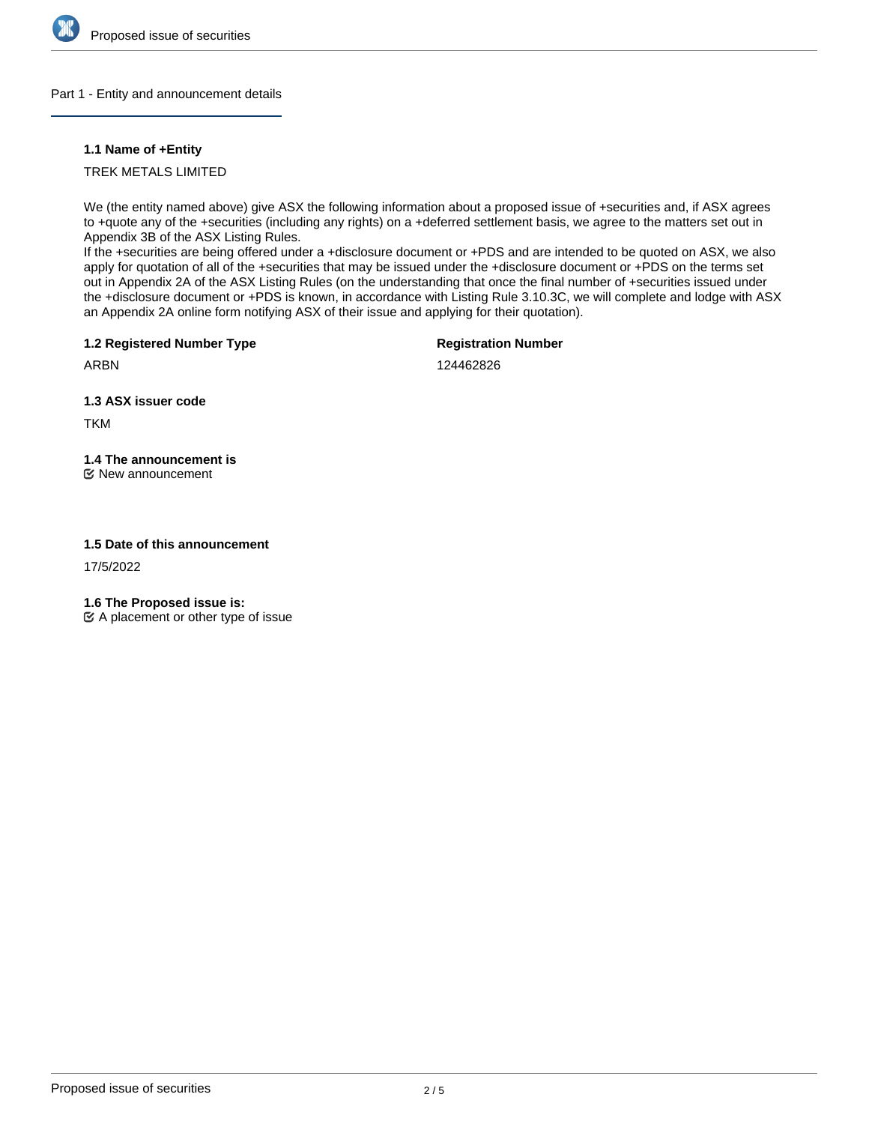

#### Part 1 - Entity and announcement details

#### **1.1 Name of +Entity**

TREK METALS LIMITED

We (the entity named above) give ASX the following information about a proposed issue of +securities and, if ASX agrees to +quote any of the +securities (including any rights) on a +deferred settlement basis, we agree to the matters set out in Appendix 3B of the ASX Listing Rules.

If the +securities are being offered under a +disclosure document or +PDS and are intended to be quoted on ASX, we also apply for quotation of all of the +securities that may be issued under the +disclosure document or +PDS on the terms set out in Appendix 2A of the ASX Listing Rules (on the understanding that once the final number of +securities issued under the +disclosure document or +PDS is known, in accordance with Listing Rule 3.10.3C, we will complete and lodge with ASX an Appendix 2A online form notifying ASX of their issue and applying for their quotation).

**1.2 Registered Number Type**

**Registration Number**

ARBN

124462826

**1.3 ASX issuer code**

TKM

## **1.4 The announcement is**

New announcement

## **1.5 Date of this announcement**

17/5/2022

**1.6 The Proposed issue is:**

 $\mathfrak{C}$  A placement or other type of issue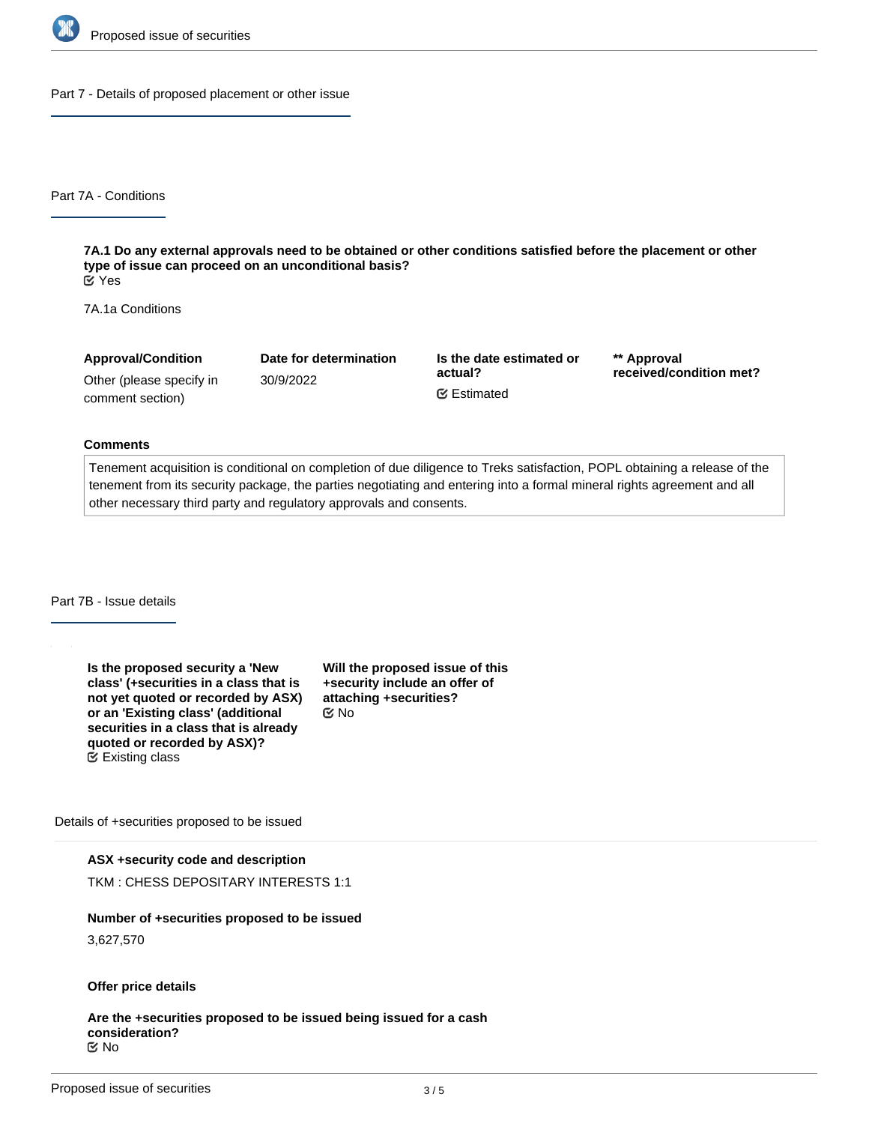

Part 7 - Details of proposed placement or other issue

Part 7A - Conditions

**7A.1 Do any external approvals need to be obtained or other conditions satisfied before the placement or other type of issue can proceed on an unconditional basis?** Yes

7A.1a Conditions

**Approval/Condition** Other (please specify in comment section) **Date for determination** 30/9/2022 **Is the date estimated or actual? \*\* Approval received/condition met?** Estimated

#### **Comments**

Tenement acquisition is conditional on completion of due diligence to Treks satisfaction, POPL obtaining a release of the tenement from its security package, the parties negotiating and entering into a formal mineral rights agreement and all other necessary third party and regulatory approvals and consents.

Part 7B - Issue details

**Is the proposed security a 'New class' (+securities in a class that is not yet quoted or recorded by ASX) or an 'Existing class' (additional securities in a class that is already quoted or recorded by ASX)?** Existing class

**Will the proposed issue of this +security include an offer of attaching +securities?** No

Details of +securities proposed to be issued

#### **ASX +security code and description**

TKM : CHESS DEPOSITARY INTERESTS 1:1

# **Number of +securities proposed to be issued**

3,627,570

## **Offer price details**

**Are the +securities proposed to be issued being issued for a cash consideration?** No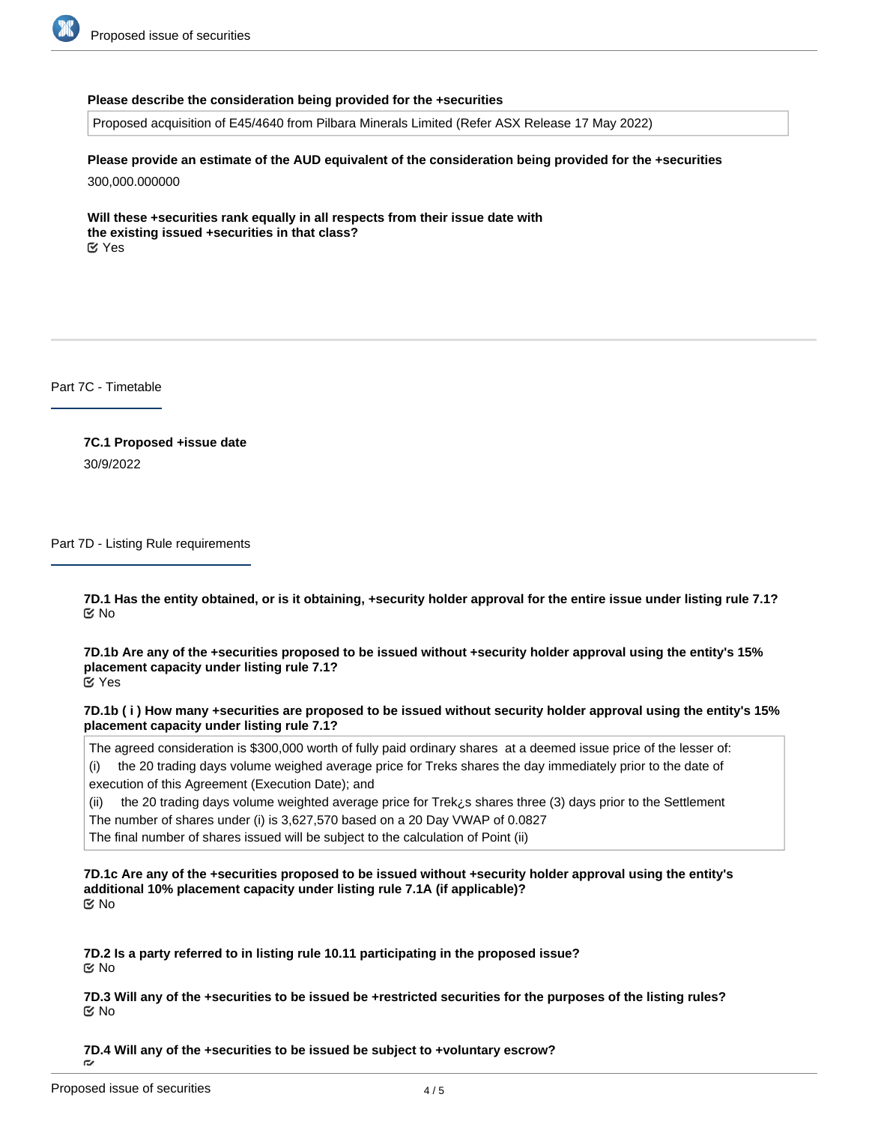

#### **Please describe the consideration being provided for the +securities**

Proposed acquisition of E45/4640 from Pilbara Minerals Limited (Refer ASX Release 17 May 2022)

**Please provide an estimate of the AUD equivalent of the consideration being provided for the +securities** 300,000.000000

**Will these +securities rank equally in all respects from their issue date with the existing issued +securities in that class?** Yes

Part 7C - Timetable

**7C.1 Proposed +issue date** 30/9/2022

Part 7D - Listing Rule requirements

**7D.1 Has the entity obtained, or is it obtaining, +security holder approval for the entire issue under listing rule 7.1?** No

**7D.1b Are any of the +securities proposed to be issued without +security holder approval using the entity's 15% placement capacity under listing rule 7.1?** Yes

**7D.1b ( i ) How many +securities are proposed to be issued without security holder approval using the entity's 15% placement capacity under listing rule 7.1?**

The agreed consideration is \$300,000 worth of fully paid ordinary shares at a deemed issue price of the lesser of:

(i) the 20 trading days volume weighed average price for Treks shares the day immediately prior to the date of execution of this Agreement (Execution Date); and

(ii) the 20 trading days volume weighted average price for Trek¿s shares three (3) days prior to the Settlement The number of shares under (i) is 3,627,570 based on a 20 Day VWAP of 0.0827

The final number of shares issued will be subject to the calculation of Point (ii)

**7D.1c Are any of the +securities proposed to be issued without +security holder approval using the entity's additional 10% placement capacity under listing rule 7.1A (if applicable)?** No

**7D.2 Is a party referred to in listing rule 10.11 participating in the proposed issue?** No

**7D.3 Will any of the +securities to be issued be +restricted securities for the purposes of the listing rules?** No

**7D.4 Will any of the +securities to be issued be subject to +voluntary escrow?**